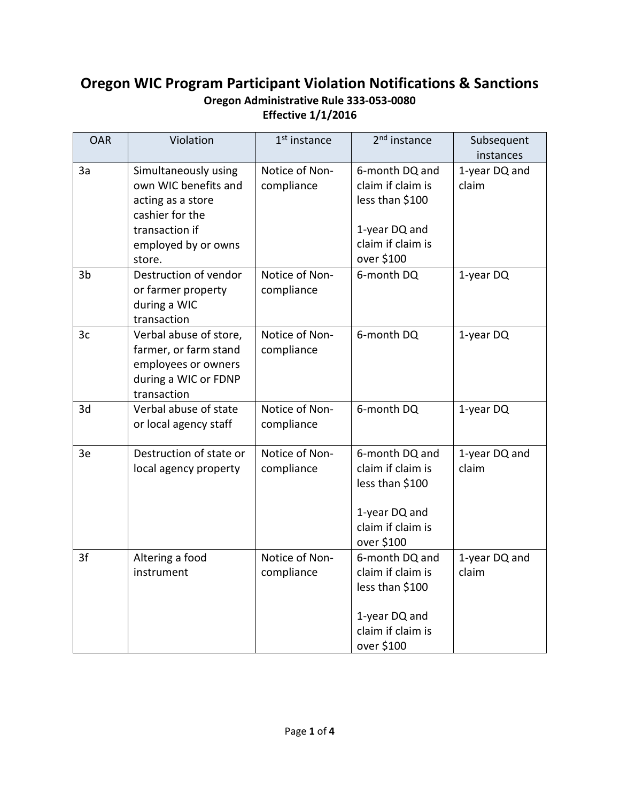## **Oregon WIC Program Participant Violation Notifications & Sanctions Oregon Administrative Rule 333-053-0080 Effective 1/1/2016**

| <b>OAR</b>     | Violation                                                                                                                               | 1 <sup>st</sup> instance     | 2 <sup>nd</sup> instance                                                                                   | Subsequent<br>instances |
|----------------|-----------------------------------------------------------------------------------------------------------------------------------------|------------------------------|------------------------------------------------------------------------------------------------------------|-------------------------|
| 3a             | Simultaneously using<br>own WIC benefits and<br>acting as a store<br>cashier for the<br>transaction if<br>employed by or owns<br>store. | Notice of Non-<br>compliance | 6-month DQ and<br>claim if claim is<br>less than \$100<br>1-year DQ and<br>claim if claim is<br>over \$100 | 1-year DQ and<br>claim  |
| 3 <sub>b</sub> | Destruction of vendor<br>or farmer property<br>during a WIC<br>transaction                                                              | Notice of Non-<br>compliance | 6-month DQ                                                                                                 | 1-year DQ               |
| 3 <sub>c</sub> | Verbal abuse of store,<br>farmer, or farm stand<br>employees or owners<br>during a WIC or FDNP<br>transaction                           | Notice of Non-<br>compliance | 6-month DQ                                                                                                 | 1-year DQ               |
| 3d             | Verbal abuse of state<br>or local agency staff                                                                                          | Notice of Non-<br>compliance | 6-month DQ                                                                                                 | 1-year DQ               |
| 3e             | Destruction of state or<br>local agency property                                                                                        | Notice of Non-<br>compliance | 6-month DQ and<br>claim if claim is<br>less than \$100<br>1-year DQ and<br>claim if claim is<br>over \$100 | 1-year DQ and<br>claim  |
| 3f             | Altering a food<br>instrument                                                                                                           | Notice of Non-<br>compliance | 6-month DQ and<br>claim if claim is<br>less than \$100<br>1-year DQ and<br>claim if claim is<br>over \$100 | 1-year DQ and<br>claim  |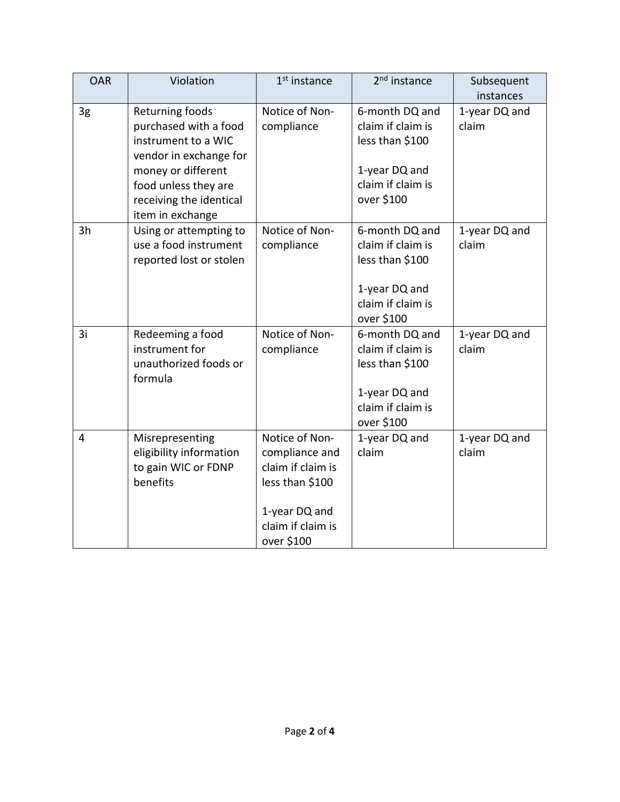| <b>OAR</b> | Violation               | 1 <sup>st</sup> instance | 2 <sup>nd</sup> instance | Subsequent    |
|------------|-------------------------|--------------------------|--------------------------|---------------|
|            |                         |                          |                          | instances     |
| 3g         | Returning foods         | Notice of Non-           | 6-month DQ and           | 1-year DQ and |
|            | purchased with a food   | compliance               | claim if claim is        | claim         |
|            | instrument to a WIC     |                          | less than \$100          |               |
|            | vendor in exchange for  |                          |                          |               |
|            | money or different      |                          | 1-year DQ and            |               |
|            | food unless they are    |                          | claim if claim is        |               |
|            | receiving the identical |                          | over \$100               |               |
|            | item in exchange        |                          |                          |               |
| 3h         | Using or attempting to  | Notice of Non-           | 6-month DQ and           | 1-year DQ and |
|            | use a food instrument   | compliance               | claim if claim is        | claim         |
|            | reported lost or stolen |                          | less than \$100          |               |
|            |                         |                          |                          |               |
|            |                         |                          | 1-year DQ and            |               |
|            |                         |                          | claim if claim is        |               |
|            |                         |                          | over \$100               |               |
| 3i         | Redeeming a food        | Notice of Non-           | 6-month DQ and           | 1-year DQ and |
|            | instrument for          | compliance               | claim if claim is        | claim         |
|            | unauthorized foods or   |                          | less than \$100          |               |
|            | formula                 |                          |                          |               |
|            |                         |                          | 1-year DQ and            |               |
|            |                         |                          | claim if claim is        |               |
|            |                         |                          | over \$100               |               |
| 4          | Misrepresenting         | Notice of Non-           | 1-year DQ and            | 1-year DQ and |
|            | eligibility information | compliance and           | claim                    | claim         |
|            | to gain WIC or FDNP     | claim if claim is        |                          |               |
|            | benefits                | less than \$100          |                          |               |
|            |                         |                          |                          |               |
|            |                         | 1-year DQ and            |                          |               |
|            |                         | claim if claim is        |                          |               |
|            |                         | over \$100               |                          |               |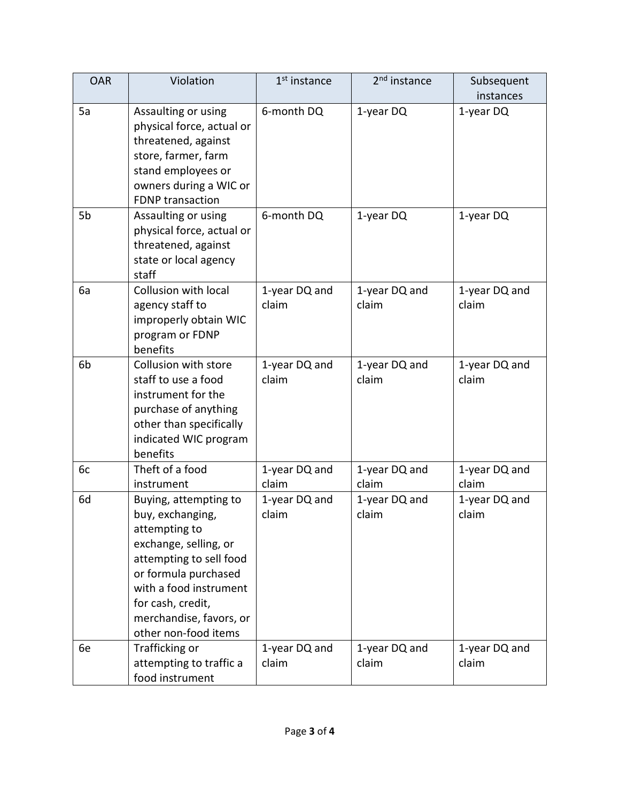| <b>OAR</b>     | Violation                                                                                                                                                                                                                                | $1st$ instance         | 2 <sup>nd</sup> instance | Subsequent<br>instances |
|----------------|------------------------------------------------------------------------------------------------------------------------------------------------------------------------------------------------------------------------------------------|------------------------|--------------------------|-------------------------|
| 5a             | Assaulting or using<br>physical force, actual or<br>threatened, against<br>store, farmer, farm<br>stand employees or<br>owners during a WIC or<br><b>FDNP</b> transaction                                                                | 6-month DQ             | 1-year DQ                | 1-year DQ               |
| 5b             | Assaulting or using<br>physical force, actual or<br>threatened, against<br>state or local agency<br>staff                                                                                                                                | 6-month DQ             | 1-year DQ                | 1-year DQ               |
| 6a             | Collusion with local<br>agency staff to<br>improperly obtain WIC<br>program or FDNP<br>benefits                                                                                                                                          | 1-year DQ and<br>claim | 1-year DQ and<br>claim   | 1-year DQ and<br>claim  |
| 6 <sub>b</sub> | Collusion with store<br>staff to use a food<br>instrument for the<br>purchase of anything<br>other than specifically<br>indicated WIC program<br>benefits                                                                                | 1-year DQ and<br>claim | 1-year DQ and<br>claim   | 1-year DQ and<br>claim  |
| 6c             | Theft of a food<br>instrument                                                                                                                                                                                                            | 1-year DQ and<br>claim | 1-year DQ and<br>claim   | 1-year DQ and<br>claim  |
| 6d             | Buying, attempting to<br>buy, exchanging,<br>attempting to<br>exchange, selling, or<br>attempting to sell food<br>or formula purchased<br>with a food instrument<br>for cash, credit,<br>merchandise, favors, or<br>other non-food items | 1-year DQ and<br>claim | 1-year DQ and<br>claim   | 1-year DQ and<br>claim  |
| 6e             | Trafficking or<br>attempting to traffic a<br>food instrument                                                                                                                                                                             | 1-year DQ and<br>claim | 1-year DQ and<br>claim   | 1-year DQ and<br>claim  |